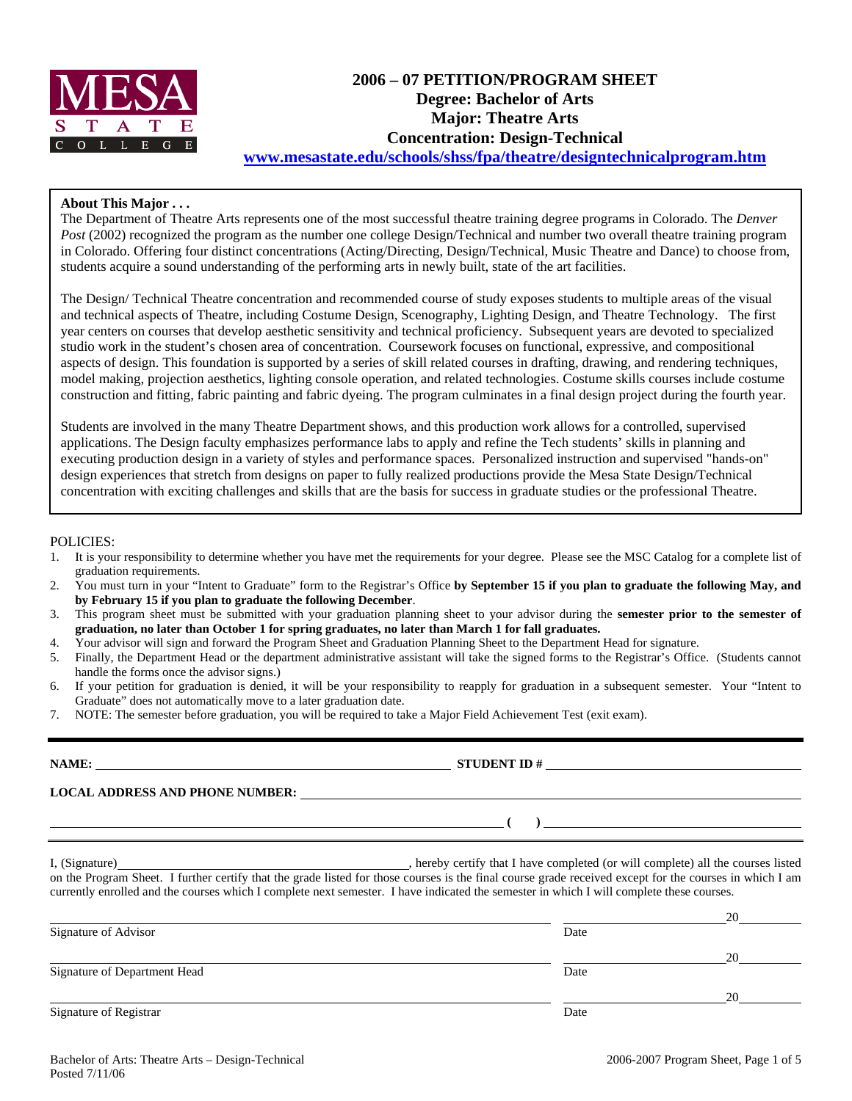

# **2006 – 07 PETITION/PROGRAM SHEET Degree: Bachelor of Arts Major: Theatre Arts Concentration: Design-Technical www.mesastate.edu/schools/shss/fpa/theatre/designtechnicalprogram.htm**

#### **About This Major . . .**

The Department of Theatre Arts represents one of the most successful theatre training degree programs in Colorado. The *Denver Post* (2002) recognized the program as the number one college Design/Technical and number two overall theatre training program in Colorado. Offering four distinct concentrations (Acting/Directing, Design/Technical, Music Theatre and Dance) to choose from, students acquire a sound understanding of the performing arts in newly built, state of the art facilities.

The Design/ Technical Theatre concentration and recommended course of study exposes students to multiple areas of the visual and technical aspects of Theatre, including Costume Design, Scenography, Lighting Design, and Theatre Technology. The first year centers on courses that develop aesthetic sensitivity and technical proficiency. Subsequent years are devoted to specialized studio work in the student's chosen area of concentration. Coursework focuses on functional, expressive, and compositional aspects of design. This foundation is supported by a series of skill related courses in drafting, drawing, and rendering techniques, model making, projection aesthetics, lighting console operation, and related technologies. Costume skills courses include costume construction and fitting, fabric painting and fabric dyeing. The program culminates in a final design project during the fourth year.

Students are involved in the many Theatre Department shows, and this production work allows for a controlled, supervised applications. The Design faculty emphasizes performance labs to apply and refine the Tech students' skills in planning and executing production design in a variety of styles and performance spaces. Personalized instruction and supervised "hands-on" design experiences that stretch from designs on paper to fully realized productions provide the Mesa State Design/Technical concentration with exciting challenges and skills that are the basis for success in graduate studies or the professional Theatre.

#### POLICIES:

- 1. It is your responsibility to determine whether you have met the requirements for your degree. Please see the MSC Catalog for a complete list of graduation requirements.
- 2. You must turn in your "Intent to Graduate" form to the Registrar's Office **by September 15 if you plan to graduate the following May, and by February 15 if you plan to graduate the following December**.
- 3. This program sheet must be submitted with your graduation planning sheet to your advisor during the **semester prior to the semester of graduation, no later than October 1 for spring graduates, no later than March 1 for fall graduates.**
- 4. Your advisor will sign and forward the Program Sheet and Graduation Planning Sheet to the Department Head for signature.
- 5. Finally, the Department Head or the department administrative assistant will take the signed forms to the Registrar's Office. (Students cannot handle the forms once the advisor signs.)
- 6. If your petition for graduation is denied, it will be your responsibility to reapply for graduation in a subsequent semester. Your "Intent to Graduate" does not automatically move to a later graduation date.
- 7. NOTE: The semester before graduation, you will be required to take a Major Field Achievement Test (exit exam).

|                              | LOCAL ADDRESS AND PHONE NUMBER: New York CONSTRUCT AND THE CONSTRUCT OF A STREET AND THE CONSTRUCT OF A STREET                                                                                                                                                                                      |    |  |  |  |  |  |  |
|------------------------------|-----------------------------------------------------------------------------------------------------------------------------------------------------------------------------------------------------------------------------------------------------------------------------------------------------|----|--|--|--|--|--|--|
|                              | $\overline{a}$ (b) and the contract of $\overline{a}$ (c) and the contract of $\overline{a}$ (c) and the contract of $\overline{a}$                                                                                                                                                                 |    |  |  |  |  |  |  |
|                              | on the Program Sheet. I further certify that the grade listed for those courses is the final course grade received except for the courses in which I am<br>currently enrolled and the courses which I complete next semester. I have indicated the semester in which I will complete these courses. |    |  |  |  |  |  |  |
| Signature of Advisor         | Date                                                                                                                                                                                                                                                                                                |    |  |  |  |  |  |  |
| Signature of Department Head | Date                                                                                                                                                                                                                                                                                                | 20 |  |  |  |  |  |  |
| Signature of Registrar       | Date                                                                                                                                                                                                                                                                                                | 20 |  |  |  |  |  |  |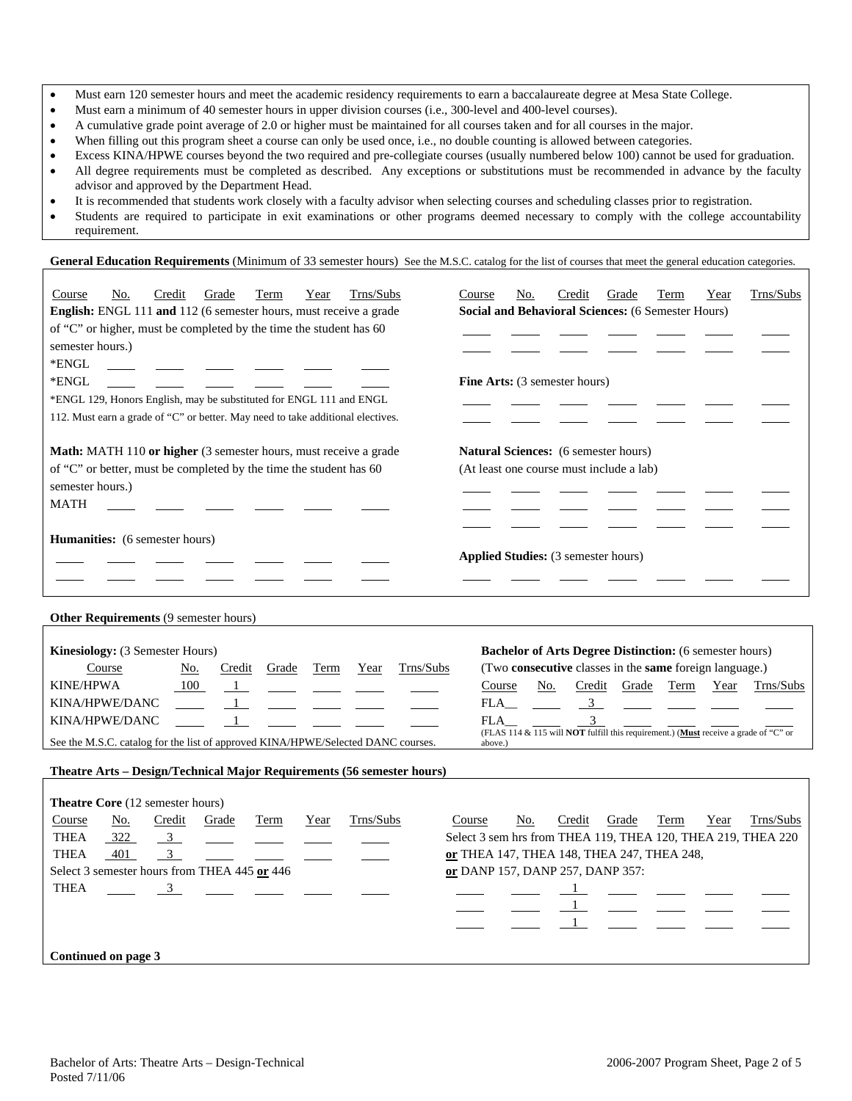- Must earn 120 semester hours and meet the academic residency requirements to earn a baccalaureate degree at Mesa State College.
- Must earn a minimum of 40 semester hours in upper division courses (i.e., 300-level and 400-level courses).
- A cumulative grade point average of 2.0 or higher must be maintained for all courses taken and for all courses in the major.
- When filling out this program sheet a course can only be used once, i.e., no double counting is allowed between categories.
- Excess KINA/HPWE courses beyond the two required and pre-collegiate courses (usually numbered below 100) cannot be used for graduation. • All degree requirements must be completed as described. Any exceptions or substitutions must be recommended in advance by the faculty advisor and approved by the Department Head.
- It is recommended that students work closely with a faculty advisor when selecting courses and scheduling classes prior to registration.
- Students are required to participate in exit examinations or other programs deemed necessary to comply with the college accountability requirement.

General Education Requirements (Minimum of 33 semester hours) See the M.S.C. catalog for the list of courses that meet the general education categories.

| Trns/Subs<br>Credit<br>Course<br>No.<br>Grade<br>Term<br>Year<br>English: ENGL 111 and 112 (6 semester hours, must receive a grade<br>of "C" or higher, must be completed by the time the student has 60<br>semester hours.)<br>*ENGL<br>*ENGL<br>*ENGL 129, Honors English, may be substituted for ENGL 111 and ENGL<br>112. Must earn a grade of "C" or better. May need to take additional electives. | Trns/Subs<br>Credit<br>Term<br>Course<br>No.<br>Grade<br>Year<br><b>Social and Behavioral Sciences: (6 Semester Hours)</b><br><b>Fine Arts:</b> (3 semester hours)                                                                                                                                                                                             |
|----------------------------------------------------------------------------------------------------------------------------------------------------------------------------------------------------------------------------------------------------------------------------------------------------------------------------------------------------------------------------------------------------------|----------------------------------------------------------------------------------------------------------------------------------------------------------------------------------------------------------------------------------------------------------------------------------------------------------------------------------------------------------------|
| Math: MATH 110 or higher (3 semester hours, must receive a grade<br>of "C" or better, must be completed by the time the student has 60<br>semester hours.)<br><b>MATH</b>                                                                                                                                                                                                                                | Natural Sciences: (6 semester hours)<br>(At least one course must include a lab)                                                                                                                                                                                                                                                                               |
| Humanities: (6 semester hours)                                                                                                                                                                                                                                                                                                                                                                           | <b>Applied Studies:</b> (3 semester hours)                                                                                                                                                                                                                                                                                                                     |
| Other Requirements (9 semester hours)                                                                                                                                                                                                                                                                                                                                                                    |                                                                                                                                                                                                                                                                                                                                                                |
| Kinesiology: (3 Semester Hours)<br>Trns/Subs<br>Course<br>No.<br>Credit<br>Grade<br>Term<br>Year<br><b>KINE/HPWA</b><br>100<br>$\Box$ 1<br>KINA/HPWE/DANC<br>KINA/HPWE/DANC<br>1<br>See the M.S.C. catalog for the list of approved KINA/HPWE/Selected DANC courses.                                                                                                                                     | <b>Bachelor of Arts Degree Distinction:</b> (6 semester hours)<br>(Two consecutive classes in the same foreign language.)<br>Course<br>Credit<br>Grade<br>Term<br>Year<br>No.<br>Trns/Subs<br>FLA<br>$\overline{\mathbf{3}}$<br>3<br>FLA<br>(FLAS 114 & $\overline{115}$ will <b>NOT</b> fulfill this requirement.) (Must receive a grade of "C" or<br>above.) |
| Theatre Arts - Design/Technical Major Requirements (56 semester hours)                                                                                                                                                                                                                                                                                                                                   |                                                                                                                                                                                                                                                                                                                                                                |
| <b>Theatre Core</b> (12 semester hours)<br>Trns/Subs<br>Course<br>No.<br>Credit<br>Grade<br>Year<br>Term<br>322<br>$\overline{\phantom{a}3}$<br><b>THEA</b><br>$\overline{\mathbf{3}}$<br><b>THEA</b><br>401<br>Select 3 semester hours from THEA 445 or 446<br><b>THEA</b><br>3 <sup>7</sup>                                                                                                            | Credit<br>Grade<br>Trns/Subs<br>Course<br>No.<br>Term<br>Year<br>Select 3 sem hrs from THEA 119, THEA 120, THEA 219, THEA 220<br>or THEA 147, THEA 148, THEA 247, THEA 248,<br>or DANP 157, DANP 257, DANP 357:<br>$\mathbf{1}$<br>$\frac{1}{2}$ and $\frac{1}{2}$ and $\frac{1}{2}$<br>$\mathbf{1}$                                                           |
| Continued on page 3                                                                                                                                                                                                                                                                                                                                                                                      |                                                                                                                                                                                                                                                                                                                                                                |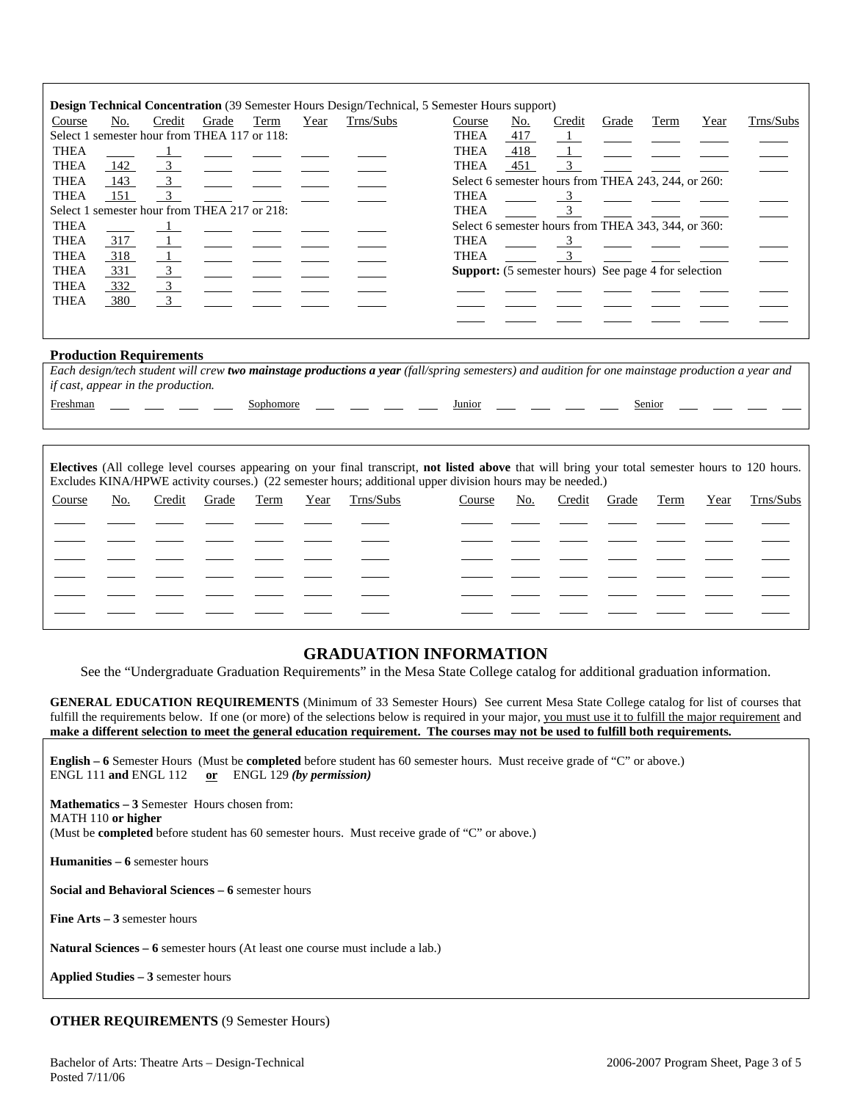| <b>Design Technical Concentration</b> (39 Semester Hours Design/Technical, 5 Semester Hours support) |     |                                              |       |      |      |           |                                                             |     |                         |       |      |      |           |
|------------------------------------------------------------------------------------------------------|-----|----------------------------------------------|-------|------|------|-----------|-------------------------------------------------------------|-----|-------------------------|-------|------|------|-----------|
| Course                                                                                               | No. | Credit                                       | Grade | Term | Year | Trns/Subs | Course                                                      | No. | Credit                  | Grade | Term | Year | Trns/Subs |
|                                                                                                      |     | Select 1 semester hour from THEA 117 or 118: |       |      |      |           | THEA                                                        | 417 |                         |       |      |      |           |
| <b>THEA</b>                                                                                          |     |                                              |       |      |      |           | <b>THEA</b>                                                 | 418 |                         |       |      |      |           |
| <b>THEA</b>                                                                                          | 142 | $\overline{\phantom{0}3}$                    |       |      |      |           | <b>THEA</b>                                                 | 451 |                         |       |      |      |           |
| <b>THEA</b>                                                                                          | 143 | $\overline{\mathbf{3}}$                      |       |      |      |           | Select 6 semester hours from THEA 243, 244, or 260:         |     |                         |       |      |      |           |
| <b>THEA</b>                                                                                          | 151 | $\frac{3}{2}$                                |       |      |      |           | <b>THEA</b>                                                 |     | $\overline{\mathbf{3}}$ |       |      |      |           |
|                                                                                                      |     | Select 1 semester hour from THEA 217 or 218: |       |      |      |           | <b>THEA</b>                                                 |     |                         |       |      |      |           |
| <b>THEA</b>                                                                                          |     |                                              |       |      |      |           | Select 6 semester hours from THEA 343, 344, or 360:         |     |                         |       |      |      |           |
| <b>THEA</b>                                                                                          | 317 |                                              |       |      |      |           | <b>THEA</b>                                                 |     | $\overline{3}$          |       |      |      |           |
| <b>THEA</b>                                                                                          | 318 |                                              |       |      |      |           | <b>THEA</b>                                                 |     |                         |       |      |      |           |
| <b>THEA</b>                                                                                          | 331 | $\overline{\mathbf{3}}$                      |       |      |      |           | <b>Support:</b> (5 semester hours) See page 4 for selection |     |                         |       |      |      |           |
| <b>THEA</b>                                                                                          | 332 | $\frac{3}{2}$                                |       |      |      |           |                                                             |     |                         |       |      |      |           |
| <b>THEA</b>                                                                                          | 380 | $\overline{3}$                               |       |      |      |           |                                                             |     |                         |       |      |      |           |
|                                                                                                      |     |                                              |       |      |      |           |                                                             |     |                         |       |      |      |           |
|                                                                                                      |     |                                              |       |      |      |           |                                                             |     |                         |       |      |      |           |

#### **Production Requirements**

*Each design/tech student will crew two mainstage productions a year (fall/spring semesters) and audition for one mainstage production a year and if cast, appear in the production.* 

Freshman \_\_ \_\_ \_\_ \_\_ Sophomore \_\_ \_\_ \_\_ \_\_ Junior \_\_ \_\_ \_\_ \_\_ Senior \_

**Electives** (All college level courses appearing on your final transcript, **not listed above** that will bring your total semester hours to 120 hours. Excludes KINA/HPWE activity courses.) (22 semester hours; additional upper division hours may be needed.)

| Course | <u>No.</u> |  |  | Credit Grade Term Year Trns/Subs | Course |  |  | No. Credit Grade Term Year Trns/Subs |
|--------|------------|--|--|----------------------------------|--------|--|--|--------------------------------------|
|        |            |  |  |                                  |        |  |  |                                      |
|        |            |  |  |                                  |        |  |  |                                      |
|        |            |  |  |                                  |        |  |  |                                      |
|        |            |  |  |                                  |        |  |  |                                      |
|        |            |  |  |                                  |        |  |  |                                      |
|        |            |  |  |                                  |        |  |  |                                      |

#### **GRADUATION INFORMATION**

See the "Undergraduate Graduation Requirements" in the Mesa State College catalog for additional graduation information.

**GENERAL EDUCATION REQUIREMENTS** (Minimum of 33 Semester Hours) See current Mesa State College catalog for list of courses that fulfill the requirements below. If one (or more) of the selections below is required in your major, you must use it to fulfill the major requirement and **make a different selection to meet the general education requirement. The courses may not be used to fulfill both requirements.**

**English – 6** Semester Hours (Must be **completed** before student has 60 semester hours. Must receive grade of "C" or above.) ENGL 111 **and** ENGL 112 **or** ENGL 129 *(by permission)*

**Mathematics – 3** Semester Hours chosen from: MATH 110 **or higher**

(Must be **completed** before student has 60 semester hours. Must receive grade of "C" or above.)

**Humanities – 6** semester hours

**Social and Behavioral Sciences – 6** semester hours

**Fine Arts – 3** semester hours

**Natural Sciences – 6** semester hours (At least one course must include a lab.)

**Applied Studies – 3** semester hours

#### **OTHER REQUIREMENTS** (9 Semester Hours)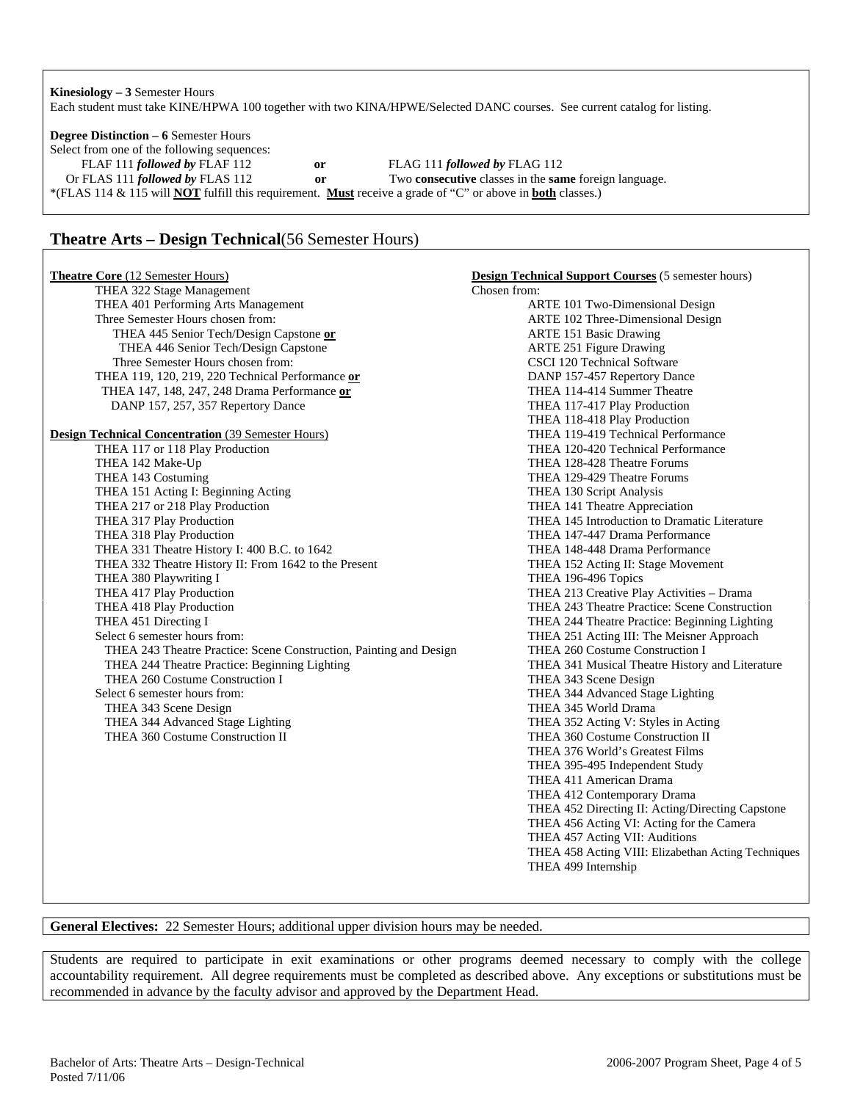**Kinesiology – 3** Semester Hours Each student must take KINE/HPWA 100 together with two KINA/HPWE/Selected DANC courses. See current catalog for listing.

## **Degree Distinction – 6** Semester Hours

Select from one of the following sequences:

FLAF 111 *followed by* FLAF 112 **or** FLAG 111 *followed by* FLAG 112

 Or FLAS 111 *followed by* FLAS 112 **or** Two **consecutive** classes in the **same** foreign language. \*(FLAS 114 & 115 will **NOT** fulfill this requirement. **Must** receive a grade of "C" or above in **both** classes.)

# **Theatre Arts – Design Technical**(56 Semester Hours)

| <b>Theatre Core (12 Semester Hours)</b>                            | <b>Design Technical Support Courses (5 semester hours)</b> |
|--------------------------------------------------------------------|------------------------------------------------------------|
| THEA 322 Stage Management                                          | Chosen from:                                               |
| THEA 401 Performing Arts Management                                | ARTE 101 Two-Dimensional Design                            |
| Three Semester Hours chosen from:                                  | ARTE 102 Three-Dimensional Design                          |
| THEA 445 Senior Tech/Design Capstone or                            | <b>ARTE 151 Basic Drawing</b>                              |
| THEA 446 Senior Tech/Design Capstone                               | ARTE 251 Figure Drawing                                    |
| Three Semester Hours chosen from:                                  | CSCI 120 Technical Software                                |
| THEA 119, 120, 219, 220 Technical Performance or                   | DANP 157-457 Repertory Dance                               |
| THEA 147, 148, 247, 248 Drama Performance or                       | THEA 114-414 Summer Theatre                                |
| DANP 157, 257, 357 Repertory Dance                                 | THEA 117-417 Play Production                               |
|                                                                    | THEA 118-418 Play Production                               |
| <b>Design Technical Concentration (39 Semester Hours)</b>          | THEA 119-419 Technical Performance                         |
| THEA 117 or 118 Play Production                                    | THEA 120-420 Technical Performance                         |
| THEA 142 Make-Up                                                   | THEA 128-428 Theatre Forums                                |
| THEA 143 Costuming                                                 | THEA 129-429 Theatre Forums                                |
| THEA 151 Acting I: Beginning Acting                                | THEA 130 Script Analysis                                   |
| THEA 217 or 218 Play Production                                    | THEA 141 Theatre Appreciation                              |
| THEA 317 Play Production                                           | THEA 145 Introduction to Dramatic Literature               |
| THEA 318 Play Production                                           | THEA 147-447 Drama Performance                             |
| THEA 331 Theatre History I: 400 B.C. to 1642                       | THEA 148-448 Drama Performance                             |
| THEA 332 Theatre History II: From 1642 to the Present              | THEA 152 Acting II: Stage Movement                         |
| THEA 380 Playwriting I                                             | THEA 196-496 Topics                                        |
| THEA 417 Play Production                                           | THEA 213 Creative Play Activities - Drama                  |
| THEA 418 Play Production                                           | THEA 243 Theatre Practice: Scene Construction              |
| THEA 451 Directing I                                               | THEA 244 Theatre Practice: Beginning Lighting              |
| Select 6 semester hours from:                                      | THEA 251 Acting III: The Meisner Approach                  |
| THEA 243 Theatre Practice: Scene Construction, Painting and Design | THEA 260 Costume Construction I                            |
| THEA 244 Theatre Practice: Beginning Lighting                      | THEA 341 Musical Theatre History and Literature            |
| THEA 260 Costume Construction I                                    | THEA 343 Scene Design                                      |
| Select 6 semester hours from:                                      | THEA 344 Advanced Stage Lighting                           |
| THEA 343 Scene Design                                              | THEA 345 World Drama                                       |
| THEA 344 Advanced Stage Lighting                                   | THEA 352 Acting V: Styles in Acting                        |
| THEA 360 Costume Construction II                                   | THEA 360 Costume Construction II                           |
|                                                                    | THEA 376 World's Greatest Films                            |
|                                                                    | THEA 395-495 Independent Study                             |
|                                                                    | THEA 411 American Drama                                    |
|                                                                    | THEA 412 Contemporary Drama                                |
|                                                                    | THEA 452 Directing II: Acting/Directing Capstone           |
|                                                                    | THEA 456 Acting VI: Acting for the Camera                  |
|                                                                    | THEA 457 Acting VII: Auditions                             |
|                                                                    | THEA 458 Acting VIII: Elizabethan Acting Techniques        |
|                                                                    | THEA 499 Internship                                        |
|                                                                    |                                                            |

**General Electives:** 22 Semester Hours; additional upper division hours may be needed.

Students are required to participate in exit examinations or other programs deemed necessary to comply with the college accountability requirement. All degree requirements must be completed as described above. Any exceptions or substitutions must be recommended in advance by the faculty advisor and approved by the Department Head.